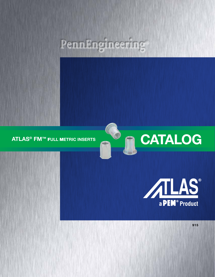# PennEngineering®

2

**ATLAS® FM™** F**ULL** M**ETRIC INSERTS**



**CATALOG**

**915**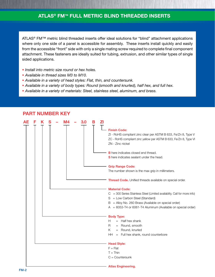ATLAS<sup>®</sup> FM<sup>™</sup> metric blind threaded inserts offer ideal solutions for "blind" attachment applications where only one side of a panel is accessible for assembly. These inserts install quickly and easily from the accessible "front" side with only a single mating screw required to complete final component attachment. These fasteners are ideally suited for tubing, extrusion, and other similar types of single sided applications.

- *Install into metric size round or hex holes.*
- *Available in thread sizes M3 to M10.*
- *Available in a variety of head styles: Flat, thin, and countersunk.*
- *Available in a variety of body types: Round (smooth and knurled), half hex, and full hex.*
- *Available in a variety of materials: Steel, stainless steel, aluminum, and brass.*



### **PART NUMBER KEY**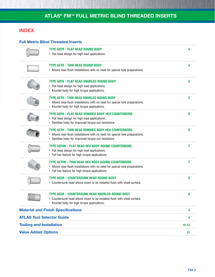### **INDEX**

### **Full Metric Blind Threaded Inserts**

|                                  | <b>TYPE AEFR - FLAT HEAD ROUND BODY</b><br>• Flat head design for high load applications.                                                                                                 | 4              |
|----------------------------------|-------------------------------------------------------------------------------------------------------------------------------------------------------------------------------------------|----------------|
|                                  | <b>TYPE AETR - THIN HEAD ROUND BODY</b><br>• Allows near-flush installations with no need for special hole preparations.                                                                  | 4              |
|                                  | <b>TYPE AEFK - FLAT HEAD KNURLED ROUND BODY</b><br>• Flat head design for high load applications.<br>• Knurled body for high torque applications.                                         | 5              |
|                                  | TYPE AETK - THIN HEAD KNURLED ROUND BODY<br>• Allows near-flush installations with no need for special hole preparations.<br>• Knurled body for high torque applications.                 | 5              |
|                                  | TYPE AEFH - FLAT HEAD SEMIHEX BODY HEX COUNTERBORE<br>• Flat head design for high load applications.<br>• Semihex body for improved torque-out resistance.                                | 6              |
|                                  | TYPE AETH - THIN HEAD SEMIHEX BODY HEX COUNTERBORE<br>• Allows near-flush installations with no need for special hole preparations.<br>• Semihex body for improved torque-out resistance. | 6              |
|                                  | <b>TYPE AEFHH - FLAT HEAD HEX BODY ROUND COUNTERBORE</b><br>• Flat head design for high load applications.<br>• Full hex feature for high torque applications.                            | 7              |
|                                  | TYPE AETHH - THIN HEAD HEX BODY ROUND COUNTERBORE<br>• Allows near-flush installations with no need for special hole preparations.<br>• Full hex feature for high torque applications.    | $\overline{7}$ |
|                                  | <b>TYPE AECR - COUNTERSUNK HEAD ROUND BODY</b><br>• Countersunk head allows insert to be installed flush with sheet surface.                                                              | 8              |
|                                  | TYPE AECK - COUNTERSUNK HEAD KNURLED ROUND BODY<br>• Countersunk head allows insert to be installed flush with sheet surface.<br>Knurled body for high torque applications.               | 8              |
|                                  | <b>Material and Finish Specifications</b>                                                                                                                                                 | 9              |
| <b>ATLAS Tool Selector Guide</b> |                                                                                                                                                                                           | 9              |
| <b>Tooling and Installation</b>  |                                                                                                                                                                                           | $10 - 12$      |
| <b>Value Added Options</b>       |                                                                                                                                                                                           | 12             |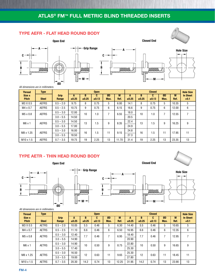### **TYPE AEFR - FLAT HEAD ROUND BODY**











*All dimensions are in millimeters.*

| <b>Thread</b>          | <b>Type</b>  |               | <b>Open</b> |            |            |            |           |            |            | <b>Closed</b> |            |           | <b>Hole Size</b>          |
|------------------------|--------------|---------------|-------------|------------|------------|------------|-----------|------------|------------|---------------|------------|-----------|---------------------------|
| Size x<br><b>Pitch</b> | <b>Steel</b> | Grip<br>Range | А<br>±0.25  | в<br>±0.25 | c<br>±0.13 | ØD<br>Max. | M<br>Ref. | А<br>±0.25 | в<br>±0.25 | C<br>±0.13    | ØD<br>Max. | M<br>Ref. | <b>In Sheet</b><br>$+0.1$ |
| M3 X 0.5               | <b>AEFRS</b> | $0.5 - 2.0$   | 9.75        | 8          | 0.75       | 5          | 6.00      | 14.1       | 8          | 0.75          | 5          | 10.35     | 5                         |
| $M4 \times 0.7$        | <b>AEFRS</b> | $0.5 - 2.5$   | 10.75       | 9          | 0.75       | 6          | 6.15      | 16.6       | 9          | 0.75          | 6          | 12.00     | 6                         |
| $M5 \times 0.8$        | <b>AEFRS</b> | $0.5 - 3.0$   | 12.00       | 10         | 1.0        | 7          | 6.55      | 18.0       | 10         | 1.0           | ⇁          | 12.55     | 7                         |
|                        |              | $3.0 - 5.5$   | 14.50       |            |            |            |           | 20.5       |            |               |            |           |                           |
| $M6 \times 1$          | <b>AEFRS</b> | $0.5 - 3.0$   | 14.50       | 13         | 1.5        | 9          | 8.35      | 22.4       | 13         | 1.5           | 9          | 16.25     | 9                         |
|                        |              | $3.0 - 5.5$   | 17.00       |            |            |            |           | 24.9       |            |               |            |           |                           |
| M8 x 1.25              | <b>AEFRS</b> | $0.5 - 3.0$   | 16.00       | 16         | 1.5        | 11         | 9.15      | 24.8       | 16         | 1.5           | 11         | 17.95     | 11                        |
|                        |              | $3.0 - 5.5$   | 18.50       |            |            |            |           | 27.3       |            |               |            |           |                           |
| $M10 \times 1.5$       | <b>AEFRS</b> | $0.7 - 3.5$   | 19.75       | 19         | 2.25       | 13         | 11.70     | 31.4       | 19         | 2.25          | 13         | 23.35     | 13                        |

### **TYPE AETR - THIN HEAD ROUND BODY**









**M**

**M**

MMMMM

**A**



*All dimensions are in millimeters.*

| <b>Thread</b>          | <b>Type</b>  |               |            |            | <b>Open</b> |            |           |            |            | <b>Closed</b> |            |           | <b>Hole Size</b>          |
|------------------------|--------------|---------------|------------|------------|-------------|------------|-----------|------------|------------|---------------|------------|-----------|---------------------------|
| Size x<br><b>Pitch</b> | <b>Steel</b> | Grip<br>Range | A<br>±0.25 | B<br>±0.25 | C<br>±0.13  | ØD<br>Max. | M<br>Ref. | А<br>±0.25 | B<br>±0.25 | C<br>±0.13    | ØD<br>Max. | M<br>Ref. | <b>In Sheet</b><br>$+0.1$ |
| M3 X 0.5               | <b>AETRS</b> | $0.5 - 2.0$   | 10.05      | 5.5        | 0.46        | 5          | 6.30      | 14.40      | 5.5        | 0.46          | 5          | 10.65     | 5                         |
| $M4 \times 0.7$        | <b>AETRS</b> | $0.5 - 2.5$   | 11.10      | 6.6        | 0.46        | 6          | 6.50      | 16.95      | 6.6        | 0.46          | 6          | 12.35     | 6                         |
| $M5 \times 0.8$        | <b>AETRS</b> | $0.5 - 3.0$   | 12.40      | 7.7        | 0.46        | 7          | 6.95      | 18.40      | 7.7        | 0.46          | 7          | 12.95     | 7                         |
|                        |              | $3.0 - 5.5$   | 14.90      |            |             |            |           | 20.90      |            |               |            |           |                           |
| $M6 \times 1$          | <b>AETRS</b> | $0.5 - 3.0$   | 14.90      | 10         | 0.50        | 9          | 8.75      | 22.80      | 10         | 0.50          | 9          | 16.65     | 9                         |
|                        |              | $3.0 - 5.5$   | 17.40      |            |             |            |           | 25.30      |            |               |            |           |                           |
| M8 x 1.25              | <b>AETRS</b> | $0.5 - 3.0$   | 16.50      | 12         | 0.63        | 11         | 9.65      | 25.30      | 12         | 0.63          | 11         | 18.45     | 11                        |
|                        |              | $3.0 - 5.5$   | 19.00      |            |             |            |           | 27.80      |            |               |            |           |                           |
| $M10 \times 1.5$       | <b>AETRS</b> | $0.7 - 3.5$   | 20.30      | 14.2       | 0.74        | 13         | 12.25     | 31.95      | 14.2       | 0.74          | 13         | 23.90     | 13                        |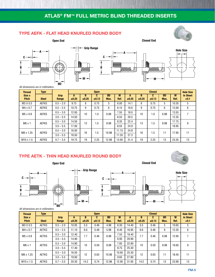**Open End Closed End**

### **TYPE AEFK - FLAT HEAD KNURLED ROUND BODY**





*All dimensions are in millimeters.*

| <b>Thread</b>          | <b>Type</b>  |               |            |            | <b>Open</b> |            |           |            |            | <b>Closed</b> |            |           | <b>Hole Size</b>          |
|------------------------|--------------|---------------|------------|------------|-------------|------------|-----------|------------|------------|---------------|------------|-----------|---------------------------|
| Size x<br><b>Pitch</b> | <b>Steel</b> | Grip<br>Range | A<br>±0.25 | в<br>±0.25 | C<br>±0.13  | ØD<br>Max. | M<br>Ref. | А<br>±0.25 | B<br>±0.25 | C<br>±0.13    | ØD<br>Max. | М<br>Ref. | <b>In Sheet</b><br>$+0.1$ |
| M3 X 0.5               | <b>AEFKS</b> | $0.5 - 2.0$   | 9.75       | 8          | 0.75        | 5          | 6.00      | 14.1       | 8          | 0.75          | 5          | 10.35     | 5                         |
| $M4 \times 0.7$        | <b>AEFKS</b> | $0.5 - 2.5$   | 10.75      | 9          | 0.75        | 6          | 6.15      | 16.6       | 9          | 0.75          | 6          | 12.00     | 6                         |
| $M5 \times 0.8$        | <b>AEFKS</b> | $0.5 - 3.0$   | 12.00      | 10         | 1.0         | 6.98       | 7.55      | 18.0       | 10         | 1.0           | 6.98       | 13.55     |                           |
|                        |              | $3.0 - 5.5$   | 14.50      |            |             |            | 6.55      | 20.5       |            |               |            | 12.35     |                           |
| $M6 \times 1$          | <b>AEFKS</b> | $0.5 - 3.0$   | 14.50      | 13         | $.5\,$      | 8.98       | 8.35      | 22.4       | 13         | 1.5           | 8.98       | 17.75     | 9                         |
|                        |              | $3.0 - 5.5$   | 17.00      |            |             |            | 8.55      | 24.9       |            |               |            | 16.95     |                           |
| M8 x 1.25              | <b>AEFKS</b> | $0.5 - 3.0$   | 16.00      | 16         | .5          | 10.98      | 11.15     | 24.8       | 16         | 1.5           | 11         | 17.95     | 11                        |
|                        |              | $3.0 - 5.5$   | 18.50      |            |             |            | 11.35     | 27.3       |            |               |            |           |                           |
| $M10 \times 1.5$       | <b>AEFKS</b> | $0.7 - 3.5$   | 19.75      | 19         | 2.25        | 12.98      | 13.95     | 31.4       | 19         | 2.25          | 13         | 23.35     | 13                        |

### **TYPE AETK - THIN HEAD KNURLED ROUND BODY**

**Open End Closed End**

**ØD**







**in** 





#### *All dimensions are in millimeters.*

| <b>Thread</b>          | <b>Type</b>  |               | <b>Open</b> |            |            |            |           |            | <b>Closed</b> |            |            | <b>Hole Size</b> |                           |
|------------------------|--------------|---------------|-------------|------------|------------|------------|-----------|------------|---------------|------------|------------|------------------|---------------------------|
| Size x<br><b>Pitch</b> | <b>Steel</b> | Grip<br>Range | A<br>±0.25  | В<br>±0.25 | C<br>±0.13 | ØD<br>Max. | M<br>Ref. | Α<br>±0.25 | B<br>±0.25    | C<br>±0.13 | ØD<br>Max. | М<br>Ref.        | <b>In Sheet</b><br>$+0.1$ |
| M3 X 0.5               | <b>AETKS</b> | $0.5 - 2.0$   | 10.05       | 5.5        | 0.46       | 4.98       | 6.30      | 14.40      | 5.5           | 0.46       | 5          | 10.65            | 5                         |
| $M4 \times 0.7$        | <b>AETKS</b> | $0.5 - 2.5$   | 11.10       | 6.6        | 0.46       | 5.98       | 6.40      | 16.95      | 6.6           | 0.46       | 6          | 12.35            | 6                         |
| $M5 \times 0.8$        | <b>AETKS</b> | $0.5 - 3.0$   | 12.40       | 7.7        | 0.46       | 6.98       | 7.55      | 18.40      | 7.7           | 0.46       | 6.98       | 12.95            |                           |
|                        |              | $3.0 - 5.5$   | 14.90       |            |            |            | 6.95      | 20.90      |               |            |            |                  |                           |
| $M6 \times 1$          | <b>AETKS</b> | $0.5 - 3.0$   | 14.90       | 10         | 0.50       | 8.98       | 7.85      | 22.80      | 10            | 0.50       | 8.98       | 16.65            | 9                         |
|                        |              | $3.0 - 5.5$   | 17.40       |            |            |            | 8.75      | 25.30      |               |            |            |                  |                           |
| M8 x 1.25              | <b>AETKS</b> | $0.5 - 3.0$   | 16.50       | 12         | 0.63       | 10.98      | 10.65     | 25.30      | 12            | 0.63       | 11         | 18.45            | 11                        |
|                        |              | $3.0 - 5.5$   | 19.00       |            |            |            | 9.65      | 27.80      |               |            |            |                  |                           |
| $M10 \times 1.5$       | <b>AETKS</b> | $0.7 - 3.5$   | 20.30       | 14.2       | 0.74       | 12.98      | 12.95     | 31.95      | 14.2          | 0.74       | 13         | 23.90            | 13                        |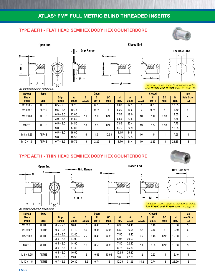**C**

**B**

### **TYPE AEFH - FLAT HEAD SEMIHEX BODY HEX COUNTERBORE**





**Open End Closed End**

**A**

mmmm



*Transform round holes to hexagonal holes. See RIV990 and RIV991 tools on page 11.*

*All dimensions are in millimeters.*

| <b>Thread</b>          | <b>Type</b>  |               |            |            | <b>Open</b> |            |           |            |            | <b>Closed</b> |            |           | <b>Hex</b>                 |
|------------------------|--------------|---------------|------------|------------|-------------|------------|-----------|------------|------------|---------------|------------|-----------|----------------------------|
| Size x<br><b>Pitch</b> | <b>Steel</b> | Grip<br>Range | A<br>±0.25 | в<br>±0.25 | C.<br>±0.13 | ØD<br>Max. | M<br>Ref. | A<br>±0.25 | B<br>±0.25 | C.<br>±0.13   | ØD<br>Max. | M<br>Ref. | <b>Hole Size</b><br>$+0.1$ |
| M3 X 0.5               | <b>AEFHS</b> | $0.5 - 2.0$   | 9.75       | 8          | 0.75        | 5          | 6.00      | 14.1       | 8          | 0.75          | 5          | 10.35     | 5                          |
| $M4 \times 0.7$        | <b>AEFHS</b> | $0.5 - 2.5$   | 10.75      | 9          | 0.75        | 6          | 6.20      | 16.6       | 9          | 0.75          | 6          | 11.50     | 6                          |
| $M5 \times 0.8$        | <b>AEFHS</b> | $0.5 - 3.0$   | 12.00      | 10         | 1.0         | 6.98       | 7.55      | 18.0       | 10         | 1.0           | 6.98       | 13.55     |                            |
|                        |              | $3.0 - 5.5$   | 14.50      |            |             |            | 6.55      | 20.5       |            |               |            | 12.55     |                            |
| $M6 \times 1$          | <b>AEFHS</b> | $0.5 - 3.0$   | 14.50      | 13         | 1.5         | 8.98       | 7.85      | 22.4       | 13         | 1.5           | 8.98       | 17.75     | 9                          |
|                        |              | $3.0 - 5.5$   | 17.00      |            |             |            | 8.75      | 24.9       |            |               |            | 16.95     |                            |
| M8 x 1.25              | <b>AEFHS</b> | $0.5 - 3.0$   | 16.00      | 16         | 1.5         | 10.98      | 11.15     | 24.8       | 16         | 1.5           | 11         | 17.95     | 11                         |
|                        |              | $3.0 - 5.5$   | 18.50      |            |             |            | 11.35     | 27.3       |            |               |            |           |                            |
| $M10 \times 1.5$       | <b>AEFHS</b> | $0.7 - 3.5$   | 19.75      | 19         | 2.25        | 13         | 11.70     | 31.4       | 19         | 2.25          | 13         | 23.35     | 13                         |

**C**

### **TYPE AETH - THIN HEAD SEMIHEX BODY HEX COUNTERBORE**









*All dimensions are in millimeters.*

| <b>Thread</b>          | <b>Type</b>  |                      |            |            | <b>Open</b> |            |           |            |            | <b>Closed</b> |            |           | <b>Hex</b>                 |
|------------------------|--------------|----------------------|------------|------------|-------------|------------|-----------|------------|------------|---------------|------------|-----------|----------------------------|
| Size x<br><b>Pitch</b> | <b>Steel</b> | <b>Grip</b><br>Range | A<br>±0.25 | B<br>±0.25 | C<br>±0.13  | ØD<br>Max. | M<br>Ref. | A<br>±0.25 | B<br>±0.25 | C<br>±0.13    | ØD<br>Max. | M<br>Ref. | <b>Hole Size</b><br>$+0.1$ |
| M3 X 0.5               | <b>AETHS</b> | $0.5 - 2.0$          | 10.05      | 5.5        | 0.46        | 5          | 6.30      | 14.40      | 5.5        | 0.46          | 5          | 10.60     | 5                          |
| $M4 \times 0.7$        | <b>AETHS</b> | $0.5 - 2.5$          | 11.10      | 6.6        | 0.46        | 5.98       | 6.50      | 16.95      | 6.6        | 0.46          | 6          | 12.30     | 6                          |
| $M5 \times 0.8$        | <b>AETHS</b> | $0.5 - 3.0$          | 12.40      | 7.7        | 0.46        | 6.98       | 7.55      | 18.40      | 7.7        | 0.46          | 6.98       | 12.90     | 7                          |
|                        |              | $3.0 - 5.5$          | 14.90      |            |             |            | 6.95      | 20.90      |            |               |            |           |                            |
| $M6 \times 1$          | <b>AETHS</b> | $0.5 - 3.0$          | 14.90      | 10         | 0.50        | 8.98       | 7.85      | 22.80      | 10         | 0.50          | 8.98       | 16.60     | 9                          |
|                        |              | $3.0 - 5.5$          | 17.40      |            |             |            | 8.75      | 25.30      |            |               |            |           |                            |
| M8 x 1.25              | <b>AETHS</b> | $0.5 - 3.0$          | 16.50      | 12         | 0.63        | 10.98      | 10.65     | 25.30      | 12         | 0.63          | 11         | 18.40     | 11                         |
|                        |              | $3.0 - 5.5$          | 19.00      |            |             |            | 9.65      | 27.80      |            |               |            |           |                            |
| $M10 \times 1.5$       | <b>AETHS</b> | $0.7 - 3.5$          | 20.30      | 14.2       | 0.74        | 13         | 12.25     | 31.95      | 14.2       | 0.74          | 13         | 23.90     | 13                         |

**ØD A**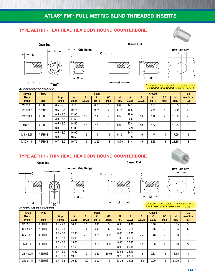**C**

### **TYPE AEFHH - FLAT HEAD HEX BODY ROUND COUNTERBORE**





**Open End Closed End**



*All dimensions are in millimeters.*

*Transform round holes to hexagonal holes. See RIV990 and RIV991 tools on page 11.*

| <b>Thread</b>          | <b>Type</b>   |                      |            | <b>Open</b> |            |                |           |            |            | <b>Closed</b> |            |           | <b>Hex</b>                 |
|------------------------|---------------|----------------------|------------|-------------|------------|----------------|-----------|------------|------------|---------------|------------|-----------|----------------------------|
| Size x<br><b>Pitch</b> | <b>Steel</b>  | <b>Grip</b><br>Range | A<br>±0.25 | B<br>±0.25  | C<br>±0.13 | ØD<br>Max.     | M<br>Ref. | A<br>±0.25 | B<br>±0.25 | C.<br>±0.13   | ØD<br>Max. | M<br>Ref. | <b>Hole Size</b><br>$+0.1$ |
| M3 X 0.5               | <b>AEFHHS</b> | $0.5 - 2.0$          | 9.75       | 8           | 0.75       | 5              | 6.00      | 14.1       | 8          | 0.75          | 5          | 10.35     | 5                          |
| $M4 \times 0.7$        | <b>AEFHHS</b> | $0.5 - 2.5$          | 10.75      | 9           | 0.75       | 6              | 6.15      | 16.6       | 9          | 0.75          | 6          | 12.00     | 6                          |
| $M5 \times 0.8$        | <b>AEFHHS</b> | $0.5 - 3.0$          | 12.00      | 10          | 1.0        | $\overline{ }$ | 6.55      | 18.0       | 10         | 1.0           | 7          | 12.55     |                            |
|                        |               | $3.0 - 5.5$          | 14.50      |             |            |                |           | 20.5       |            |               |            |           |                            |
| $M6 \times 1$          | <b>AEFHHS</b> | $0.5 - 3.0$          | 14.50      | 13          | i.5        | 9              | 8.35      | 22.4       | 13         | 1.5           | 9          | 16.25     | 9                          |
|                        |               | $3.0 - 5.5$          | 17.00      |             |            |                |           | 24.9       |            |               |            |           |                            |
| M8 x 1.25              | <b>AEFHHS</b> | $0.5 - 3.0$          | 16.00      | 16          | $.5\,$     | 11             | 9.15      | 24.8       | 16         | 1.5           | 11         | 17.95     | 11                         |
|                        |               | $3.0 - 5.5$          | 18.50      |             |            |                |           | 27.3       |            |               |            |           |                            |
| $M10 \times 1.5$       | <b>AEFHHS</b> | $0.7 - 3.5$          | 19.75      | 19          | 2.25       | 13             | 11.70     | 31.4       | 19         | 2.25          | 13         | 23.35     | 13                         |

### **TYPE AETHH - THIN HEAD HEX BODY ROUND COUNTERBORE**

#### **Open End Closed End**









*Transform round holes to hexagonal holes. See RIV990 and RIV991 tools on page 11.*

| All dimensions are in millimeters. |  |  |
|------------------------------------|--|--|
|                                    |  |  |

| <b>Thread</b>          | <b>Type</b>   |               | <b>Open</b> |                 |            |            |           |            |            | <b>Closed</b> |            |           | <b>Hex</b>                 |
|------------------------|---------------|---------------|-------------|-----------------|------------|------------|-----------|------------|------------|---------------|------------|-----------|----------------------------|
| Size x<br><b>Pitch</b> | <b>Steel</b>  | Grip<br>Range | А<br>±0.25  | B<br>±0.25      | u<br>±0.13 | ØD<br>Max. | M<br>Ref. | А<br>±0.25 | в<br>±0.25 | u<br>±0.13    | ØD<br>Max. | M<br>Ref. | <b>Hole Size</b><br>$+0.1$ |
| M3 X 0.5               | <b>AETHHS</b> | $0.5 - 2.0$   | 10.05       | 5.5             | 0.46       | 5          | 6.30      | 14.40      | 5.5        | 0.46          | 5          | 10.65     | 5                          |
| $M4 \times 0.7$        | <b>AETHHS</b> | $0.5 - 2.5$   | 11.10       | 6.6             | 0.46       | 6          | 6.50      | 16.95      | 6.6        | 0.46          | 6          | 12.35     | 6                          |
| $M5 \times 0.8$        | <b>AETHHS</b> | $0.5 - 3.0$   | 12.45       | 7.7             | 0.60       | 6.98       | 8.05      | 18.45      | 7.7        | 0.46          | ⇁          | 13.00     |                            |
|                        |               | $3.0 - 5.5$   | 14.95       |                 |            |            | 7.00      | 20.95      |            |               |            |           |                            |
| $M6 \times 1$          | <b>AETHHS</b> | $0.5 - 3.0$   | 15.05       | 10 <sup>1</sup> | 0.75       | 8.98       | 9.35      | 22.95      | 10         | 0.50          | 9          | 16.80     | 9                          |
|                        |               | $3.0 - 5.5$   | 17.55       |                 |            |            | 8.90      | 25.45      |            |               |            |           |                            |
| M8 x 1.25              | <b>AETHHS</b> | $0.7 - 3.0$   | 16.60       | 12              | 0.80       | 10.98      | 10.65     | 25.40      | 12         | 0.63          | 11         | 18.55     | 11                         |
|                        |               | $3.0 - 5.5$   | 19.10       |                 |            |            | 9.75      | 27.90      |            |               |            |           |                            |
| $M10 \times 1.5$       | <b>AETHHS</b> | $0.7 - 3.5$   | 20.40       | 14.2            | 0.90       | 13         | 12.35     | 32.05      | 14.2       | 0.90          | 13         | 24.00     | 13                         |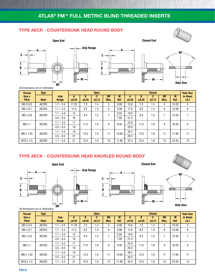#### **TYPE AECR - COUNTERSUNK HEAD ROUND BODY**



*All dimensions are in millimeters.*

| <b>Thread</b>          | <b>Type</b>  |               |            |            | <b>Open</b> |            |           |            |            | <b>Closed</b>   |            |           | <b>Hole Size</b>          |
|------------------------|--------------|---------------|------------|------------|-------------|------------|-----------|------------|------------|-----------------|------------|-----------|---------------------------|
| Size x<br><b>Pitch</b> | <b>Steel</b> | Grip<br>Range | A<br>±0.25 | В<br>±0.25 | C.<br>±0.13 | ØD<br>Max. | M<br>Ref. | A<br>±0.25 | В<br>±0.25 | C<br>$\pm 0.13$ | ØD<br>Max. | M<br>Ref. | <b>In Sheet</b><br>$+0.1$ |
| M3 X 0.5               | <b>AECRS</b> | $1.7 - 3.5$   | 1.25       | 7.2        | 1.4         | 5          | 6.00      | 15.6       | 7.2        | 1.4             | 5          | 10.35     | 5                         |
| $M4 \times 0.7$        | <b>AECRS</b> | $1.7 - 3.5$   | 11.5       | 8.2        | 1.4         | 6          | 5.90      | 17.6       | 8.2        | 1.4             | 6          | 12.00     | 6                         |
| $M5 \times 0.8$        | <b>AECRS</b> | $1.7 - 4.0$   | 13         | 9.4        | 1.5         |            | 6.55      | 19.0       | 9.4        | 1.5             |            | 12.55     | $\overline{7}$            |
|                        |              | $4.0 - 6.5$   | 16         |            |             |            | 7.05      | 21.5       |            |                 |            |           |                           |
| $M6 \times 1$          | <b>AECRS</b> | $1.7 - 4.5$   | 17         | 11.5       | 1.6         | 9          | 9.35      | 23.9       | 11.5       | 1.6             | 9          | 16.25     | 9                         |
|                        |              | $4.5 - 6.5$   | 19         |            |             |            |           | 25.9       |            |                 |            |           |                           |
| M8 x 1.25              | <b>AECRS</b> | $1.7 - 4.5$   | 19         | 13.5       | 1.6         | 11         | 10.65     | 26.3       | 13.5       | 1.6             | 11         | 17.95     | 11                        |
|                        |              | $4.5 - 6.5$   | 21         |            |             |            |           | 28.3       |            |                 |            |           |                           |
| $M10 \times 1.5$       | <b>AECRS</b> | $1.7 - 4.5$   | 21         | 15.5       | 1.6         | 13         | 11.95     | 32.4       | 15.5       | 1.6             | 13         | 23.35     | 13                        |

### **TYPE AECK - COUNTERSUNK HEAD KNURLED ROUND BODY**









**Hole Size**

#### *All dimensions are in millimeters.*

| <b>Thread</b>          | <b>Type</b>  |               |            |            | <b>Open</b> |            |           |            |            | <b>Closed</b> |            |           | <b>Hole Size</b>          |
|------------------------|--------------|---------------|------------|------------|-------------|------------|-----------|------------|------------|---------------|------------|-----------|---------------------------|
| Size x<br><b>Pitch</b> | <b>Steel</b> | Grip<br>Range | A<br>±0.25 | В<br>±0.25 | C<br>±0.13  | ØD<br>Max. | M<br>Ref. | А<br>±0.25 | B<br>±0.25 | C<br>±0.13    | ØD<br>Max. | M<br>Ref. | <b>In Sheet</b><br>$+0.1$ |
| M3 X 0.5               | <b>AECKS</b> | $1.7 - 3.5$   | 11.25      | 7.2        | 1.4         | 5          | 6.00      | 15.6       | 7.2        | 1.4           | 5          | 10.35     | 5                         |
| $M4 \times 0.7$        | <b>AECKS</b> | $1.7 - 3.5$   | 11.5       | 8.2        | 1.4         | 6          | 5.90      | 17.6       | 8.2        | 1.4           | 6          | 12.00     | 6                         |
| $M5 \times 0.8$        | <b>AECKS</b> | $1.7 - 4.0$   | 13         | 9.4        | 1.5         | ⇁          | 6.55      | 19.0       | 9.4        | 1.5           | 7          | 12.55     | 7                         |
|                        |              | $4.0 - 6.5$   | 16         |            |             |            | 7.05      | 21.5       |            |               |            |           |                           |
| $M6 \times 1$          | <b>AECKS</b> | $1.7 - 4.5$   | 17         | 11.5       | 1.6         | 9          | 9.35      | 23.9       | 11.5       | 1.6           | 9          | 16.25     | 9                         |
|                        |              | $4.5 - 6.5$   | 19         |            |             |            |           | 25.9       |            |               |            |           |                           |
| M8 x 1.25              | <b>AECKS</b> | $1.7 - 4.5$   | 19         | 13.5       | 1.6         | 11         | 10.65     | 26.3       | 13.5       | 1.6           | 11         | 17.95     | 11                        |
|                        |              | $4.5 - 6.5$   | 21         |            |             |            |           | 28.3       |            |               |            |           |                           |
| $M10 \times 1.5$       | <b>AECKS</b> | $1.7 - 4.5$   | 21         | 15.5       | 6.6         | 13         | 11.95     | 32.4       | 15.5       | 1.6           | 13         | 23.35     | 13                        |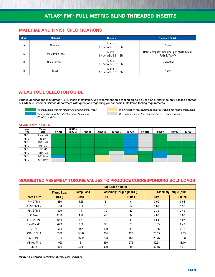#### **MATERIAL AND FINISH SPECIFICATIONS**

| <b>Code</b> | <b>Material</b>        | <b>Threads</b>                | <b>Standard Finish</b>                                      |  |  |
|-------------|------------------------|-------------------------------|-------------------------------------------------------------|--|--|
| А           | Aluminum               | Metric,<br>6H per ASME B1.13M | None                                                        |  |  |
| S           | Low Carbon Steel       | Metric,<br>6H per ASME B1.13M | RoHS compliant zinc clear per ASTM B 633,<br>Fe/Zn8, Type V |  |  |
| C           | <b>Stainless Steel</b> | Metric,<br>6H per ASME B1.13M | Passivated                                                  |  |  |
| B           | <b>Brass</b>           | Metric,<br>6H per ASME B1.13M | None                                                        |  |  |

### **ATLAS TOOL SELECTOR GUIDE**

Various applications may affect ATLAS insert installation. We recommend this tooling guide be used as a reference only. Please contact our ATLAS Customer Service department with questions regarding your specific installation tooling requirements.

*The installation tool can reliably install all material types.*

*The installation tool is rated for Steel, Aluminum, MONEL®, and Brass.*

*The installation tool conditions must be optimal for reliable installation. This combination of tool and insert is not recommended.*

#### **ATLAS® FM™ INSERTS**

| Insert<br>Type | <b>Thread</b><br><b>Size</b> | <b>RIV938</b> | <b>RIV939</b><br><b>RIV912</b> | <b>RIV942</b> | <b>RIV998V</b> | <b>RIV938S</b> | <b>RIV916</b> | <b>RIV916B</b> | <b>RIV790</b> | <b>RIV990</b> | <b>RIV991</b> |
|----------------|------------------------------|---------------|--------------------------------|---------------|----------------|----------------|---------------|----------------|---------------|---------------|---------------|
| <b>AEFM</b>    | #4-40, M3                    |               |                                |               |                |                |               |                |               |               |               |
| <b>AEFM</b>    | #6-32                        |               |                                |               |                |                |               |                |               |               |               |
| <b>AEFM</b>    | #8-32, M4                    |               |                                |               |                |                |               |                |               |               |               |
| <b>AEFM</b>    | #10, M5                      |               |                                |               |                |                |               |                |               |               |               |
| <b>AEFM</b>    | $1/4$ ", M6                  |               |                                |               |                |                |               |                |               |               |               |
| <b>AEFM</b>    | $5/16$ ", M8                 |               |                                |               |                |                |               |                |               |               |               |
| <b>AEFM</b>    | 3/8", M10                    |               |                                |               |                |                |               |                |               |               |               |
| <b>AEFM</b>    | 1/2", M12                    |               |                                |               |                |                |               |                |               |               |               |

#### **SUGGESTED ASSEMBLY TORQUE VALUES TO PRODUCE CORRESPONDING BOLT LOADS**

|                    | <b>SAE Grade 5 Bolts</b> |                   |                                  |               |                              |               |  |
|--------------------|--------------------------|-------------------|----------------------------------|---------------|------------------------------|---------------|--|
|                    | <b>Clamp Load</b>        | <b>Clamp Load</b> | <b>Assembly Torque (in lbs.)</b> |               | <b>Assembly Torque (Nom)</b> |               |  |
| <b>Thread Size</b> | (Ibs.)                   | (KN)              | <b>Dry</b>                       | <b>Plated</b> | Dry                          | <b>Plated</b> |  |
| #4-40 / M3         | 380                      | 1.69              | 8                                | 6             | 0.90                         | 0.68          |  |
| #6-32 / M3.5       | 580                      | 2.58              | 16                               | 12            | 1.81                         | 1.36          |  |
| #8-32 / M4         | 900                      | 4                 | 30                               | 22            | 3.39                         | 2.49          |  |
| #10-24             | 1120                     | 4.98              | 43                               | 32            | 4.86                         | 3.62          |  |
| #10-32 / M5        | 1285                     | 5.71              | 49                               | 36            | 5.54                         | 4.07          |  |
| $1/4 - 20 / M6$    | 2000                     | 8.89              | 96                               | 75            | 10.85                        | 8.48          |  |
| $1/4 - 28$         | 2300                     | 10.22             | 120                              | 86            | 13.56                        | 9.72          |  |
| $5/16 - 18 / M8$   | 3350                     | 14.89             | 204                              | 156           | 23.05                        | 17.63         |  |
| $5/16 - 24$        | 3700                     | 16.44             | 228                              | 168           | 25.76                        | 18.98         |  |
| $3/8 - 16 / M10$   | 4950                     | 21                | 360                              | 276           | 40.68                        | 31.19         |  |
| $3/8 - 24$         | 5600                     | 24.89             | 420                              | 300           | 47.46                        | 39.9          |  |

*MONEL ® is a registered trademark of Special Metals Corporation.*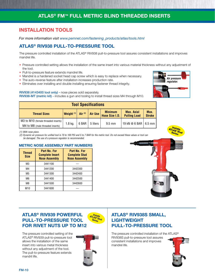### **INSTALLATION TOOLS**

*For more information visit www.pemnet.com/fastening\_products/atlas/tools.html*

### **ATLAS® RIV938 PULL-TO-PRESSURE TOOL**

The pressure controlled installation of the ATLAS® RIV938 pull-to-pressure tool assures consistent installations and improves mandrel life.

- Pressure controlled setting allows the installation of the same insert into various material thickness without any adjustment of the tool.
- Pull-to-pressure feature extends mandrel life.
- Mandrel is a hardened socket head cap screw which is easy to replace when necessary.
- The auto-reverse feature after installation increases production rate.
- Eliminates over installing and double installing ensuring fastener thread integrity.

RIV938 (4143400 tool only) - nose pieces sold separately.

RIV938-MT (metric kit) - includes a gun and tooling to install thread sizes M4 through M10.

| <b>Tool Specifications</b>                                              |                       |           |          |                                  |                                          |                       |
|-------------------------------------------------------------------------|-----------------------|-----------|----------|----------------------------------|------------------------------------------|-----------------------|
| <b>Thread Sizes</b>                                                     | Weight <sup>(1)</sup> | Air $(2)$ | Air Use  | <b>Minimum</b><br>Hose Size I.D. | <b>Max. Axial</b><br><b>Pulling Load</b> | Max.<br><b>Stroke</b> |
| M3 to M10 (female threaded inserts)<br>M4 to M8 (male threaded inserts) | $1.8$ kg.             | 6 BAR     | 5 liters | $9.5 \text{ mm}$                 | 19 kN @ 6 BAR   6.5 mm                   |                       |

*(1) With nose piece.*<br>(2) Dynamic air pressure for unified tool is 70 to 100 PSI and 5 to 7 BAR for the metric tool. Do not exceed these values or tool can **series** *be damaged. The use of a pressure regulator is recommended.*

#### **METRIC NOSE ASSEMBLY PART NUMBERS**

| <b>Thread</b><br><b>Size</b> | Part No. For<br><b>Complete Insert</b><br><b>Nose Assembly</b> | Part No. For<br><b>Complete Stud</b><br><b>Nose Assembly</b> |  |  |  |
|------------------------------|----------------------------------------------------------------|--------------------------------------------------------------|--|--|--|
| M3                           | 3441100                                                        |                                                              |  |  |  |
| M4                           | 3441200                                                        | 3442300                                                      |  |  |  |
| M5                           | 3441300                                                        | 3442400                                                      |  |  |  |
| M6                           | 3441400                                                        | 3442500                                                      |  |  |  |
| M8                           | 3441500                                                        | 3442600                                                      |  |  |  |
| M <sub>10</sub>              | 3441600                                                        |                                                              |  |  |  |



### **ATLAS® RIV939 POWERFUL PULL-TO-PRESSURE TOOL FOR RIVET NUTS UP TO M12**

The pressure controlled setting of the ATLAS® RIV939 pull-to-pressure tool allows the installation of the same insert into various metal thickness without any adjustment of the tool. The pull-to-pressure feature extends mandril life.



**Installs ATLAS® Stud Series**

### **ATLAS® RIV938S SMALL, LIGHTWEIGHT PULL-TO-PRESSURE TOOL**

The pressure controlled installation of the ATLAS® RIV938S pull-to-pressure tool assures consistent installations and improves mandrel life.





<mark>ATLAS®</mark><br>ATLAS® Stud<br>Seri∽<sup>Stud</sup>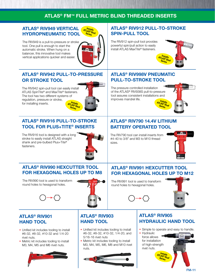### **ATLAS® RIV949 VERTICAL Installs ATLAS® Stud HYDROPNEUMATIC TOOL**

The RIV949 is a pull-to-pressure or stroke tool. One pull is enough to start the automatic stroke. When hung on a balancer, this innovative tool makes vertical applications quicker and easier.



### **ATLAS® RIV942 PULL-TO-PRESSURE OR STROKE TOOL**

The RIV942 spin-pull tool can easily install ATLAS SpinTite® and MaxTite® fasteners. The tool has two different systems of regulation, pressure or stroke, for installing inserts. **Installs**



### **ATLAS® RIV916 PULL-TO-STROKE TOOL FOR PLUS+TITE® INSERTS**

The RIV916 tool is designed with a long stroke to easily install ATLAS straight shank and pre-bulbed Plus+Tite® fasteners.



### **ATLAS® RIV790 14.4V LITHIUM BATTERY OPERATED TOOL**

**ATLAS® RIV912 PULL-TO-STROKE** 

**Installs ATLAS® Stud Series**

**Installs ATLAS® Stud Series**

**SPIN-PULL TOOL**

The RIV912 spin-pull tool provides powerful spin/pull action to easily install ATLAS MaxTite® fasteners.

The RIV790 tool can install inserts from #4-40 to 3/8" and M3 to M10 thread sizes.



### **ATLAS® RIV990 HEXCUTTER TOOL FOR HEXAGONAL HOLES UP TO M8**

The RIV990 tool is used to transform round holes to hexagonal holes.



## **ATLAS® RIV991 HEXCUTTER TOOL FOR HEXAGONAL HOLES UP TO M12**

The RIV991 tool is used to transform round holes to hexagonal holes.



### **ATLAS® RIV901 HAND TOOL**

- Unified kit includes tooling to install #6-32, #8-32, #10-32 and 1/4-20 rivet nuts.
- Metric kit includes tooling to install M3, M4, M5 and M6 rivet nuts.



### **ATLAS® RIV903 HAND TOOL**

- Unified kit includes tooling to install #6-32, #8-32, #10-32, 1/4-20, and 5/16-16 rivet nuts
- Metric kit includes tooling to install M3, M4, M5, M6, M8 and M10 rivet nuts.



### **ATLAS® RIV905 HYDRAULIC HAND TOOL**

• Simple to operate and easy to handle.



**ATLAS® RIV998V PNEUMATIC** 

**PULL-TO-STROKE TOOL**

The pressure controlled installation of the ATLAS® RIV938S pull-to-pressure tool assures consistent installations and

improves mandrel life.